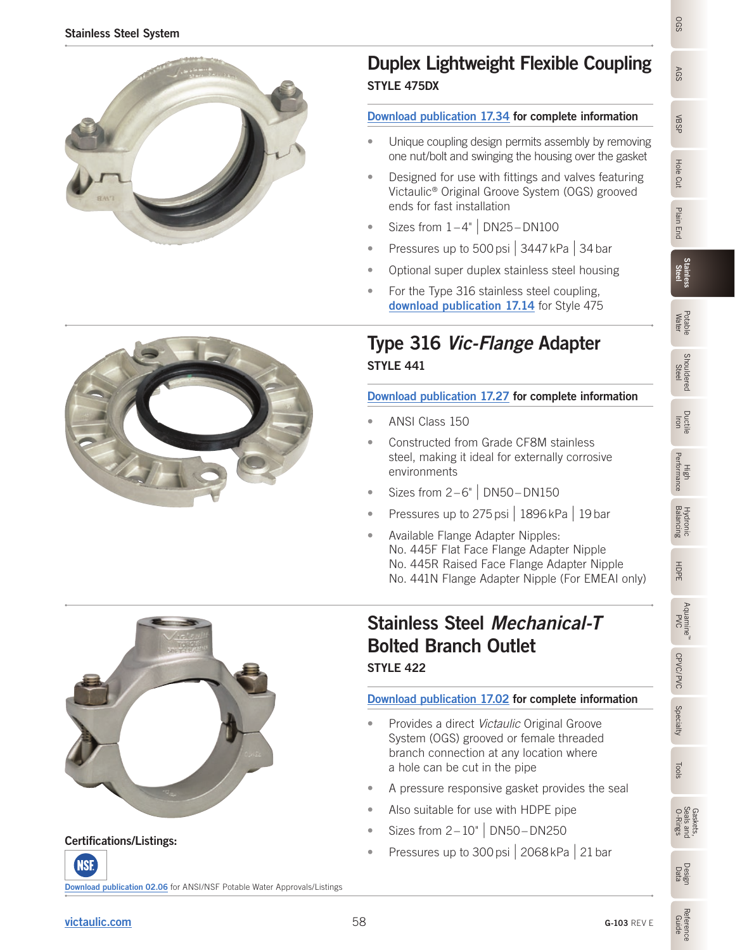



## Duplex Lightweight Flexible Coupling STYLE 475DX

#### [Download publication 17.34](http://static.victaulic.com/assets/uploads/literature/17.34.pdf) for complete information

- Unique coupling design permits assembly by removing one nut/bolt and swinging the housing over the gasket
- Designed for use with fittings and valves featuring Victaulic® Original Groove System (OGS) grooved ends for fast installation
- Sizes from  $1-4$ " | DN25 DN100
- Pressures up to 500 psi | 3447 kPa | 34 bar
- Optional super duplex stainless steel housing
- For the Type 316 stainless steel coupling, [download publication 17.14](http://static.victaulic.com/assets/uploads/literature/17.14.pdf) for Style 475

### Type 316 *Vic-Flange* Adapter STYLE 441

#### [Download publication 17.27](http://static.victaulic.com/assets/uploads/literature/17.27.pdf) for complete information

- ANSI Class 150
- Constructed from Grade CF8M stainless steel, making it ideal for externally corrosive environments
- Sizes from  $2-6$ " | DN50 DN150
- Pressures up to 275 psi | 1896 kPa | 19 bar
- Available Flange Adapter Nipples: No. 445F Flat Face Flange Adapter Nipple No. 445R Raised Face Flange Adapter Nipple No. 441N Flange Adapter Nipple (For EMEAI only)

## Stainless Steel *Mechanical-T* Bolted Branch Outlet

STYLE 422

#### [Download publication 17.02](http://static.victaulic.com/assets/uploads/literature/17.02.pdf) for complete information

- Provides a direct *Victaulic* Original Groove System (OGS) grooved or female threaded branch connection at any location where a hole can be cut in the pipe
- A pressure responsive gasket provides the seal
- Also suitable for use with HDPE pipe
- Sizes from  $2 10$ " | DN50 DN250
- Pressures up to 300 psi | 2068 kPa | 21 bar



Hole Cut

**OGS** 

AGS

**VBSP** 

Plain End

Plain End

OGS VGSP VBSP Hole Cut Plain End Steel Water Vater Steel Steel Steel Steel Steel Steel Steel Steel Steel Steel

Stainless Steel

Potable<br>Water

# Balancing Hydronic HDPE

Aquamine™ P<br>S



CPVC/PVC

CPVC/PVC





Design<br>Data

Reference Guide

Certifications/Listings:



[Download publication 02.06](http://static.victaulic.com/assets/uploads/literature/02.06.pdf) for ANSI/NSF Potable Water Approvals/Listings

**[victaulic.com](http://www.victaulic.com)** G-103 REV E G-103 REV E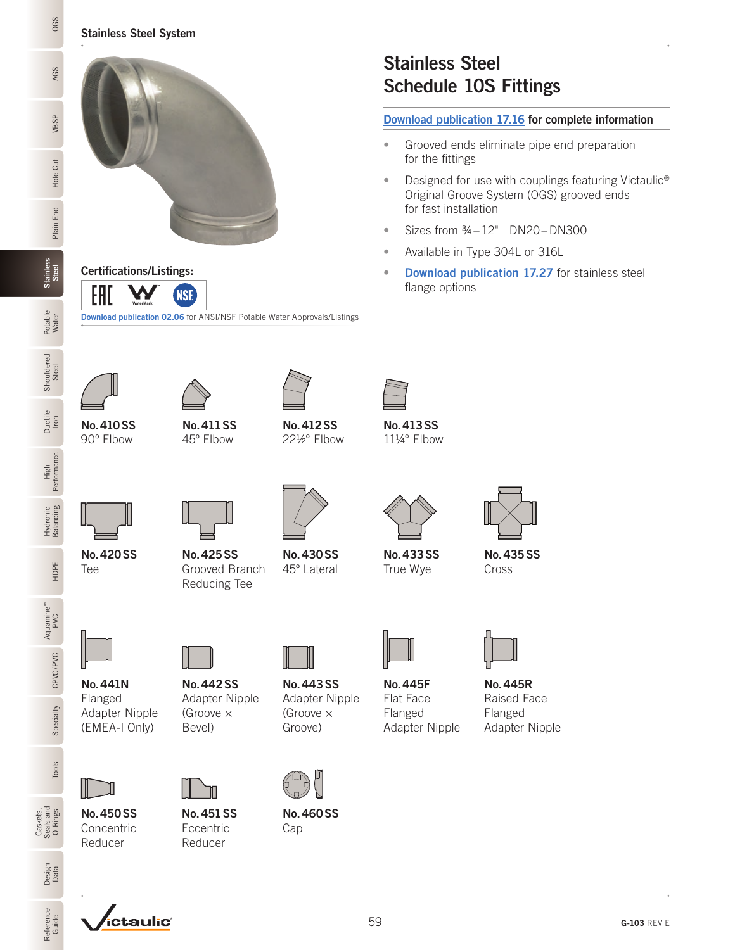#### Stainless Steel System

**WaterMark**

W



**NSF** 

## Stainless Steel Schedule 10S Fittings

#### [Download publication 17.16](http://static.victaulic.com/assets/uploads/literature/17.16.pdf) for complete information

- Grooved ends eliminate pipe end preparation for the fittings
- Designed for use with couplings featuring Victaulic<sup>®</sup> Original Groove System (OGS) grooved ends for fast installation
- Sizes from  $\frac{3}{4} 12$ " | DN20 DN300
- Available in Type 304L or 316L
- [Download publication 17.27](http://static.victaulic.com/assets/uploads/literature/17.27.pdf) for stainless steel flange options

Hole Cut

VBSP

OGS

AGS

Plain End

**Stainless** Stainless<br>Steel



No.410SS 90º Elbow



[Download publication 02.06](http://static.victaulic.com/assets/uploads/literature/02.06.pdf) for ANSI/NSF Potable Water Approvals/Listings

No.411SS 45º Elbow



No.412SS 22½° Elbow



11¼° Elbow



HDPE

Aquamine™ PVC

CPVC/PVC

CPVC/PVC

Specialty

Tools

No.420SS Tee



No.425SS Grooved Branch Reducing Tee

No.442SS Adapter Nipple (Groove × Bevel)



No.430SS 45º Lateral



No.433SS True Wye



No.435SS Cross

No.445F Flat Face Flanged Adapter Nipple



No.445R Raised Face Flanged Adapter Nipple



No.441N Flanged Adapter Nipple









No.450SS

No.451SS Eccentric Reducer



No.443SS Adapter Nipple (Groove × Groove)

No.460SS Cap

Design<br>Data